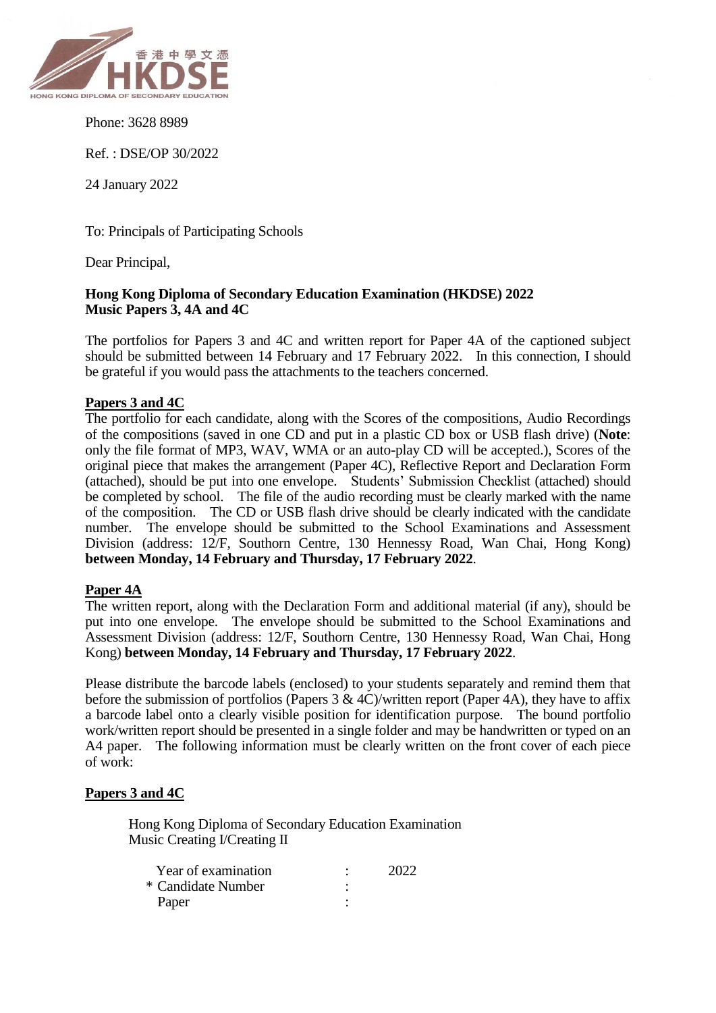

Phone: 3628 8989

Ref. : DSE/OP 30/2022

24 January 2022

To: Principals of Participating Schools

Dear Principal,

### **Hong Kong Diploma of Secondary Education Examination (HKDSE) 2022 Music Papers 3, 4A and 4C**

The portfolios for Papers 3 and 4C and written report for Paper 4A of the captioned subject should be submitted between 14 February and 17 February 2022. In this connection, I should be grateful if you would pass the attachments to the teachers concerned.

#### **Papers 3 and 4C**

The portfolio for each candidate, along with the Scores of the compositions, Audio Recordings of the compositions (saved in one CD and put in a plastic CD box or USB flash drive) (**Note**: only the file format of MP3, WAV, WMA or an auto-play CD will be accepted.), Scores of the original piece that makes the arrangement (Paper 4C), Reflective Report and Declaration Form (attached), should be put into one envelope. Students' Submission Checklist (attached) should be completed by school. The file of the audio recording must be clearly marked with the name of the composition. The CD or USB flash drive should be clearly indicated with the candidate number. The envelope should be submitted to the School Examinations and Assessment Division (address: 12/F, Southorn Centre, 130 Hennessy Road, Wan Chai, Hong Kong) **between Monday, 14 February and Thursday, 17 February 2022**.

#### **Paper 4A**

The written report, along with the Declaration Form and additional material (if any), should be put into one envelope. The envelope should be submitted to the School Examinations and Assessment Division (address: 12/F, Southorn Centre, 130 Hennessy Road, Wan Chai, Hong Kong) **between Monday, 14 February and Thursday, 17 February 2022**.

Please distribute the barcode labels (enclosed) to your students separately and remind them that before the submission of portfolios (Papers 3 & 4C)/written report (Paper 4A), they have to affix a barcode label onto a clearly visible position for identification purpose. The bound portfolio work/written report should be presented in a single folder and may be handwritten or typed on an A4 paper. The following information must be clearly written on the front cover of each piece of work:

### **Papers 3 and 4C**

Hong Kong Diploma of Secondary Education Examination Music Creating I/Creating II

| Year of examination | 2022 |
|---------------------|------|
| * Candidate Number  |      |
| Paper               |      |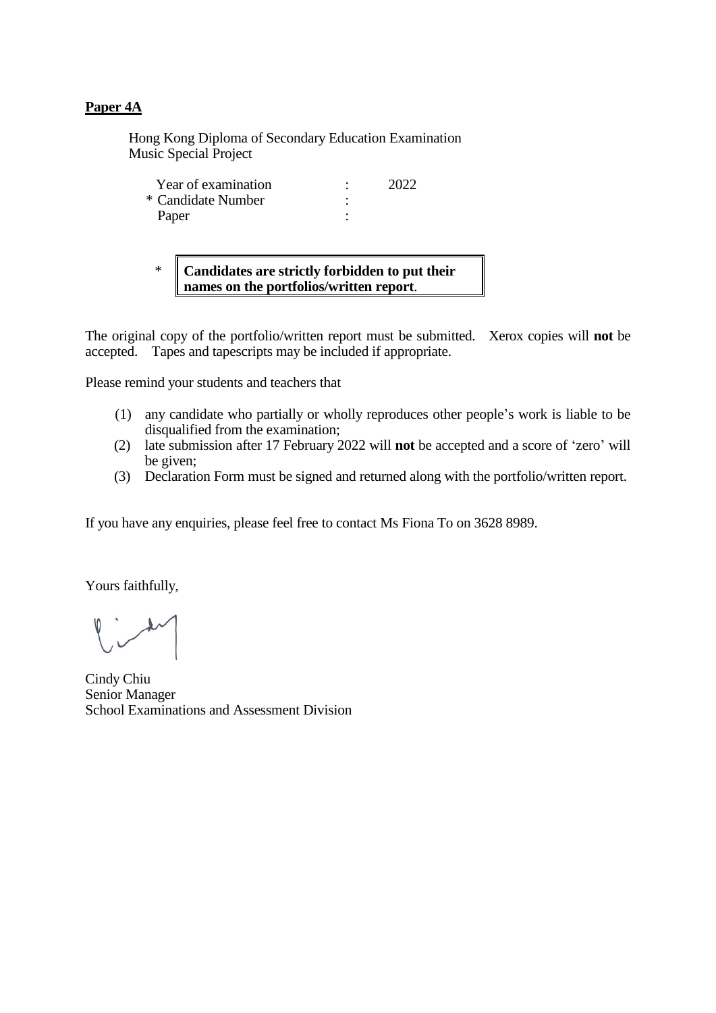### **Paper 4A**

Hong Kong Diploma of Secondary Education Examination Music Special Project

| Year of examination | 2022 |
|---------------------|------|
| * Candidate Number  |      |
| Paper               |      |

\* **Candidates are strictly forbidden to put their names on the portfolios/written report**.

The original copy of the portfolio/written report must be submitted. Xerox copies will **not** be accepted. Tapes and tapescripts may be included if appropriate.

Please remind your students and teachers that

- (1) any candidate who partially or wholly reproduces other people's work is liable to be disqualified from the examination;
- (2) late submission after 17 February 2022 will **not** be accepted and a score of 'zero' will be given;
- (3) Declaration Form must be signed and returned along with the portfolio/written report.

If you have any enquiries, please feel free to contact Ms Fiona To on 3628 8989.

Yours faithfully,

Cindy Chiu Senior Manager School Examinations and Assessment Division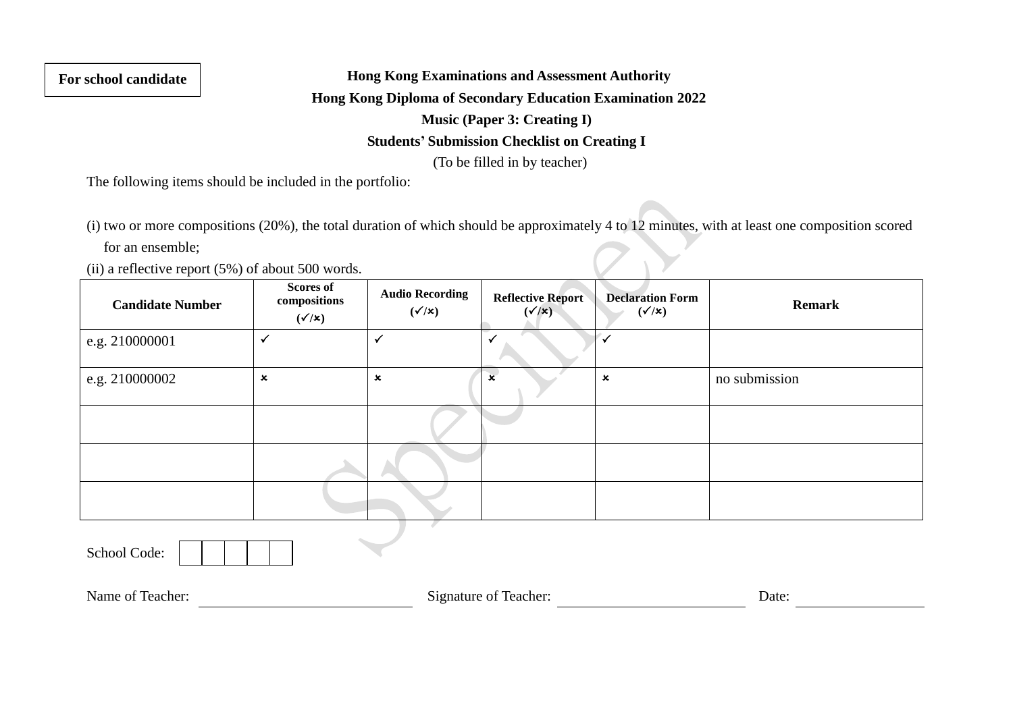**For school candidate**

**Hong Kong Examinations and Assessment Authority**

**Hong Kong Diploma of Secondary Education Examination 2022**

**Music (Paper 3: Creating I)**

## **Students' Submission Checklist on Creating I**

(To be filled in by teacher)

The following items should be included in the portfolio:

(i) two or more compositions (20%), the total duration of which should be approximately 4 to 12 minutes, with at least one composition scored for an ensemble;

(ii) a reflective report (5%) of about 500 words.

| <b>Candidate Number</b> | <b>Scores of</b><br>compositions<br>$(\checkmark/x)$ | <b>Audio Recording</b><br>$(\checkmark/\checkmark)$ | <b>Reflective Report</b><br>$(\checkmark/x)$ | <b>Declaration Form</b><br>$(\checkmark/x)$ | <b>Remark</b> |
|-------------------------|------------------------------------------------------|-----------------------------------------------------|----------------------------------------------|---------------------------------------------|---------------|
| e.g. 210000001          | $\checkmark$                                         | $\checkmark$                                        |                                              |                                             |               |
| e.g. 210000002          | $\boldsymbol{\mathsf{x}}$                            | $\boldsymbol{\mathsf{x}}$                           | $\boldsymbol{\mathsf{x}}$                    | $\pmb{\times}$                              | no submission |
|                         |                                                      |                                                     |                                              |                                             |               |
|                         |                                                      |                                                     |                                              |                                             |               |
|                         |                                                      |                                                     |                                              |                                             |               |

School Code:

Name of Teacher: Date: Signature of Teacher: Date: Date: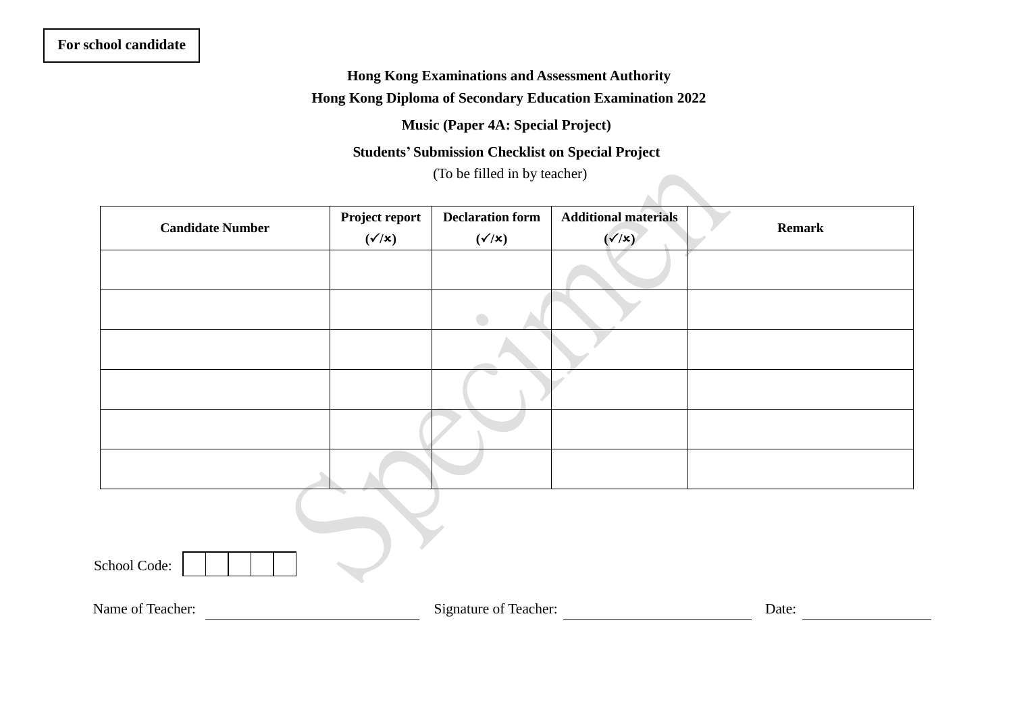# **For school candidate**

# **Hong Kong Examinations and Assessment Authority Hong Kong Diploma of Secondary Education Examination 2022**

**Music (Paper 4A: Special Project)**

# **Students' Submission Checklist on Special Project**

(To be filled in by teacher)

| <b>Candidate Number</b> | Project report<br>$(\checkmark/x)$ | <b>Declaration form</b><br>$(\checkmark/x)$ | <b>Additional materials</b><br>$(\checkmark/x)$ | <b>Remark</b> |
|-------------------------|------------------------------------|---------------------------------------------|-------------------------------------------------|---------------|
|                         |                                    |                                             |                                                 |               |
|                         |                                    | $\bigcirc$                                  |                                                 |               |
|                         |                                    |                                             |                                                 |               |
|                         |                                    |                                             |                                                 |               |
|                         |                                    |                                             |                                                 |               |
|                         |                                    |                                             |                                                 |               |
| School Code:            |                                    |                                             |                                                 |               |
| Name of Teacher:        |                                    | Signature of Teacher:                       |                                                 | Date:         |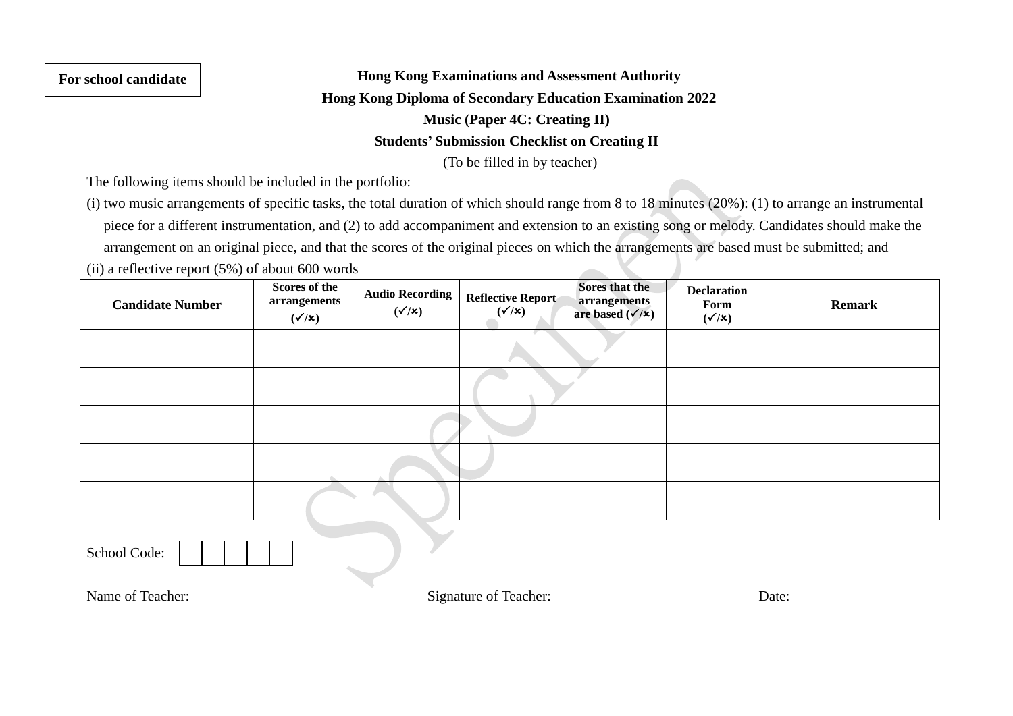### **For school candidate**

# **Hong Kong Examinations and Assessment Authority Hong Kong Diploma of Secondary Education Examination 2022 Music (Paper 4C: Creating II) Students' Submission Checklist on Creating II** (To be filled in by teacher)

The following items should be included in the portfolio:

(i) two music arrangements of specific tasks, the total duration of which should range from 8 to 18 minutes (20%): (1) to arrange an instrumental piece for a different instrumentation, and (2) to add accompaniment and extension to an existing song or melody. Candidates should make the arrangement on an original piece, and that the scores of the original pieces on which the arrangements are based must be submitted; and

(ii) a reflective report  $(5%)$  of about 600 words

| <b>Candidate Number</b> | Scores of the<br>arrangements<br>$(\checkmark/x)$ | <b>Audio Recording</b><br>$(\checkmark/x)$ | Reflective Report | Sores that the<br>arrangements<br>are based $(\checkmark/\checkmark)$ | <b>Declaration</b><br>Form<br>$(\checkmark/\checkmark)$ | <b>Remark</b> |
|-------------------------|---------------------------------------------------|--------------------------------------------|-------------------|-----------------------------------------------------------------------|---------------------------------------------------------|---------------|
|                         |                                                   |                                            |                   |                                                                       |                                                         |               |
|                         |                                                   |                                            |                   |                                                                       |                                                         |               |
|                         |                                                   |                                            |                   |                                                                       |                                                         |               |
|                         |                                                   |                                            |                   |                                                                       |                                                         |               |
|                         |                                                   |                                            |                   |                                                                       |                                                         |               |

School Code:

Name of Teacher: Signature of Teacher: Date: Date: